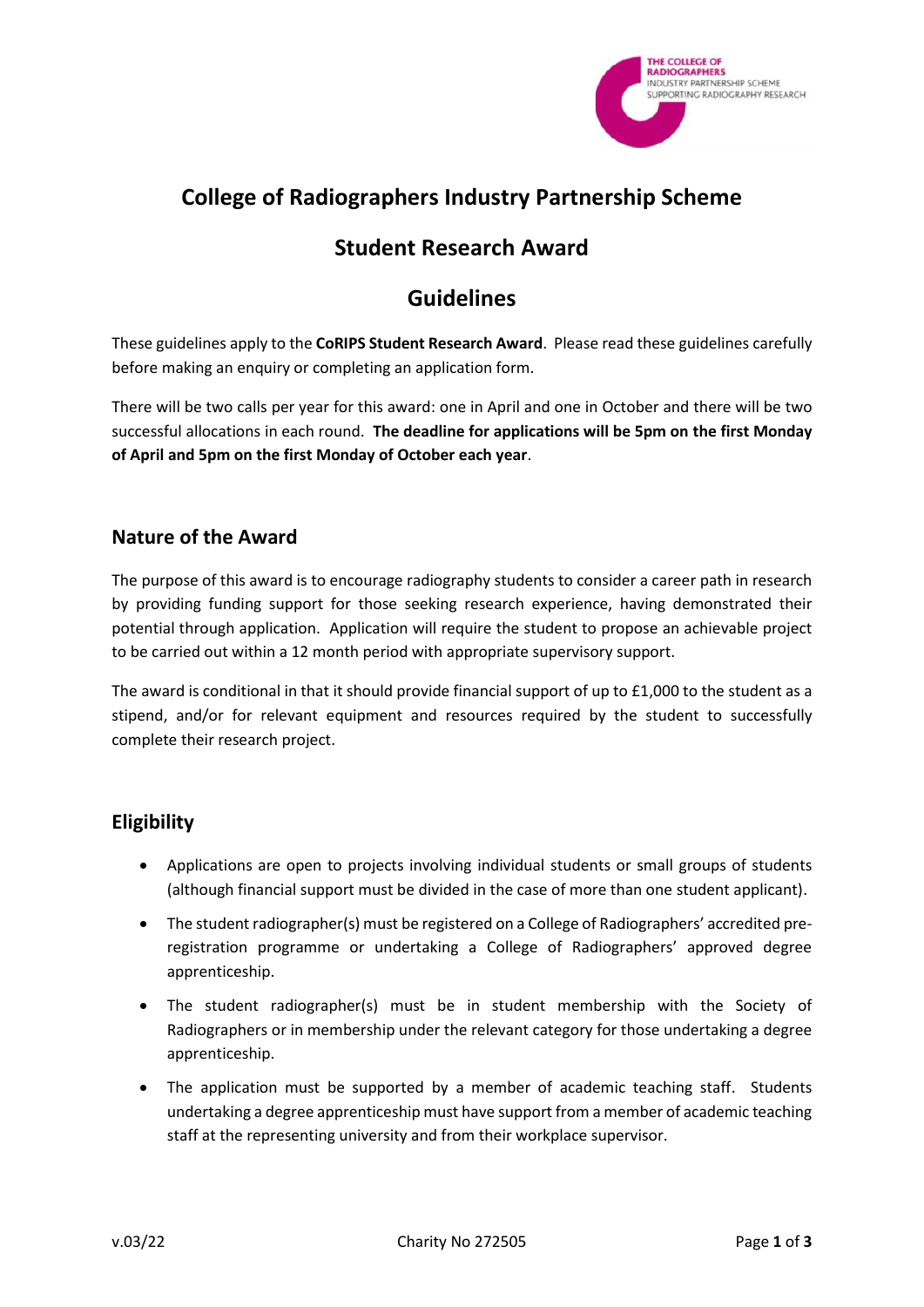

# **College of Radiographers Industry Partnership Scheme**

### **Student Research Award**

## **Guidelines**

These guidelines apply to the **CoRIPS Student Research Award**. Please read these guidelines carefully before making an enquiry or completing an application form.

There will be two calls per year for this award: one in April and one in October and there will be two successful allocations in each round. **The deadline for applications will be 5pm on the first Monday of April and 5pm on the first Monday of October each year**.

#### **Nature of the Award**

The purpose of this award is to encourage radiography students to consider a career path in research by providing funding support for those seeking research experience, having demonstrated their potential through application. Application will require the student to propose an achievable project to be carried out within a 12 month period with appropriate supervisory support.

The award is conditional in that it should provide financial support of up to £1,000 to the student as a stipend, and/or for relevant equipment and resources required by the student to successfully complete their research project.

#### **Eligibility**

- Applications are open to projects involving individual students or small groups of students (although financial support must be divided in the case of more than one student applicant).
- The student radiographer(s) must be registered on a College of Radiographers' accredited preregistration programme or undertaking a College of Radiographers' approved degree apprenticeship.
- The student radiographer(s) must be in student membership with the Society of Radiographers or in membership under the relevant category for those undertaking a degree apprenticeship.
- The application must be supported by a member of academic teaching staff. Students undertaking a degree apprenticeship must have support from a member of academic teaching staff at the representing university and from their workplace supervisor.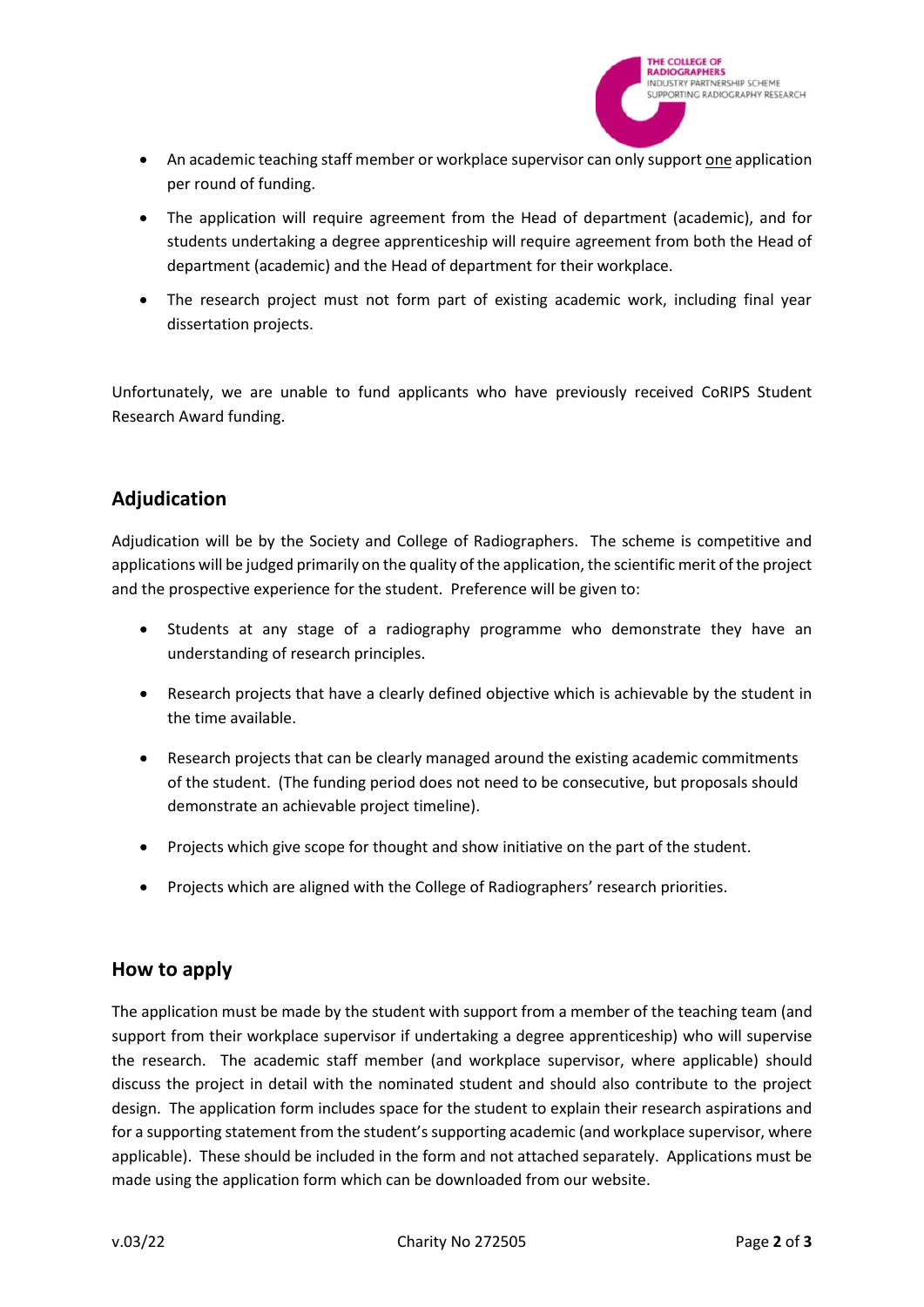

- An academic teaching staff member or workplace supervisor can only support one application per round of funding.
- The application will require agreement from the Head of department (academic), and for students undertaking a degree apprenticeship will require agreement from both the Head of department (academic) and the Head of department for their workplace.
- The research project must not form part of existing academic work, including final year dissertation projects.

Unfortunately, we are unable to fund applicants who have previously received CoRIPS Student Research Award funding.

### **Adjudication**

Adjudication will be by the Society and College of Radiographers. The scheme is competitive and applications will be judged primarily on the quality of the application, the scientific merit of the project and the prospective experience for the student. Preference will be given to:

- Students at any stage of a radiography programme who demonstrate they have an understanding of research principles.
- Research projects that have a clearly defined objective which is achievable by the student in the time available.
- Research projects that can be clearly managed around the existing academic commitments of the student. (The funding period does not need to be consecutive, but proposals should demonstrate an achievable project timeline).
- Projects which give scope for thought and show initiative on the part of the student.
- Projects which are aligned with the College of Radiographers' research priorities.

#### **How to apply**

The application must be made by the student with support from a member of the teaching team (and support from their workplace supervisor if undertaking a degree apprenticeship) who will supervise the research. The academic staff member (and workplace supervisor, where applicable) should discuss the project in detail with the nominated student and should also contribute to the project design. The application form includes space for the student to explain their research aspirations and for a supporting statement from the student's supporting academic (and workplace supervisor, where applicable). These should be included in the form and not attached separately. Applications must be made using the application form which can be downloaded from our website.